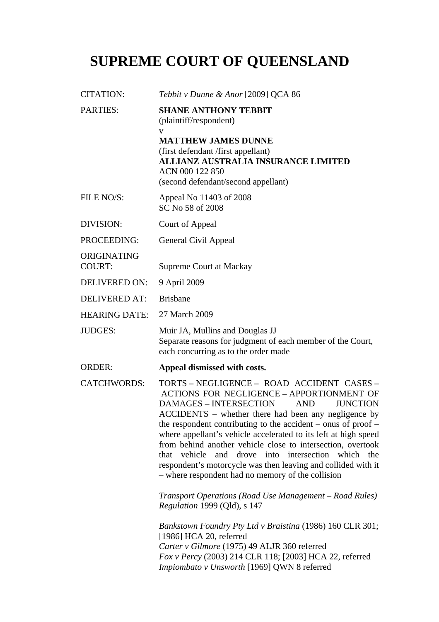# **SUPREME COURT OF QUEENSLAND**

| <b>CITATION:</b>             | Tebbit v Dunne & Anor [2009] QCA 86                                                                                                                                                                                                                                                                                                                                                                                                                                                                                                                                                                      |
|------------------------------|----------------------------------------------------------------------------------------------------------------------------------------------------------------------------------------------------------------------------------------------------------------------------------------------------------------------------------------------------------------------------------------------------------------------------------------------------------------------------------------------------------------------------------------------------------------------------------------------------------|
| <b>PARTIES:</b>              | <b>SHANE ANTHONY TEBBIT</b><br>(plaintiff/respondent)<br>V                                                                                                                                                                                                                                                                                                                                                                                                                                                                                                                                               |
|                              | <b>MATTHEW JAMES DUNNE</b><br>(first defendant /first appellant)<br><b>ALLIANZ AUSTRALIA INSURANCE LIMITED</b><br>ACN 000 122 850<br>(second defendant/second appellant)                                                                                                                                                                                                                                                                                                                                                                                                                                 |
| FILE NO/S:                   | Appeal No 11403 of 2008<br>SC No 58 of 2008                                                                                                                                                                                                                                                                                                                                                                                                                                                                                                                                                              |
| DIVISION:                    | Court of Appeal                                                                                                                                                                                                                                                                                                                                                                                                                                                                                                                                                                                          |
| PROCEEDING:                  | General Civil Appeal                                                                                                                                                                                                                                                                                                                                                                                                                                                                                                                                                                                     |
| ORIGINATING<br><b>COURT:</b> | <b>Supreme Court at Mackay</b>                                                                                                                                                                                                                                                                                                                                                                                                                                                                                                                                                                           |
| <b>DELIVERED ON:</b>         | 9 April 2009                                                                                                                                                                                                                                                                                                                                                                                                                                                                                                                                                                                             |
| <b>DELIVERED AT:</b>         | <b>Brisbane</b>                                                                                                                                                                                                                                                                                                                                                                                                                                                                                                                                                                                          |
| <b>HEARING DATE:</b>         | 27 March 2009                                                                                                                                                                                                                                                                                                                                                                                                                                                                                                                                                                                            |
| <b>JUDGES:</b>               | Muir JA, Mullins and Douglas JJ<br>Separate reasons for judgment of each member of the Court,<br>each concurring as to the order made                                                                                                                                                                                                                                                                                                                                                                                                                                                                    |
| <b>ORDER:</b>                | Appeal dismissed with costs.                                                                                                                                                                                                                                                                                                                                                                                                                                                                                                                                                                             |
| <b>CATCHWORDS:</b>           | TORTS-NEGLIGENCE-ROAD ACCIDENT CASES-<br><b>ACTIONS FOR NEGLIGENCE - APPORTIONMENT OF</b><br><b>DAMAGES - INTERSECTION</b><br><b>JUNCTION</b><br><b>AND</b><br>ACCIDENTS – whether there had been any negligence by<br>the respondent contributing to the accident – onus of proof –<br>where appellant's vehicle accelerated to its left at high speed<br>from behind another vehicle close to intersection, overtook<br>vehicle<br>and drove into intersection which the<br>that<br>respondent's motorcycle was then leaving and collided with it<br>- where respondent had no memory of the collision |
|                              | Transport Operations (Road Use Management – Road Rules)<br><i>Regulation 1999 (Qld), s 147</i>                                                                                                                                                                                                                                                                                                                                                                                                                                                                                                           |
|                              | Bankstown Foundry Pty Ltd v Braistina (1986) 160 CLR 301;<br>[1986] HCA 20, referred<br>Carter v Gilmore (1975) 49 ALJR 360 referred<br>Fox v Percy (2003) 214 CLR 118; [2003] HCA 22, referred<br>Impiombato v Unsworth [1969] QWN 8 referred                                                                                                                                                                                                                                                                                                                                                           |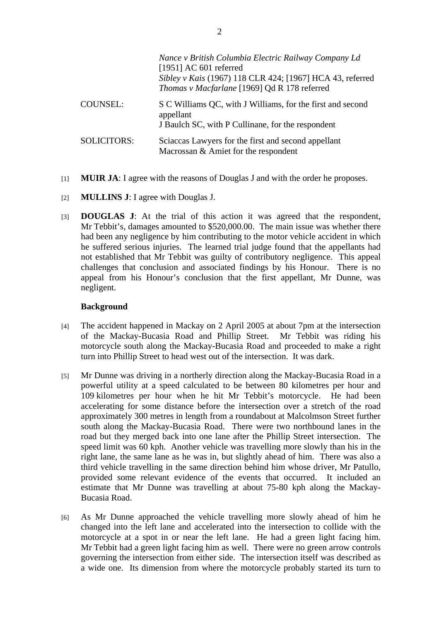|                    | Nance v British Columbia Electric Railway Company Ld<br>[1951] AC 601 referred<br>Sibley v Kais (1967) 118 CLR 424; [1967] HCA 43, referred<br>Thomas v Macfarlane [1969] Qd R 178 referred |
|--------------------|---------------------------------------------------------------------------------------------------------------------------------------------------------------------------------------------|
| <b>COUNSEL:</b>    | S C Williams QC, with J Williams, for the first and second<br>appellant<br>J Baulch SC, with P Cullinane, for the respondent                                                                |
| <b>SOLICITORS:</b> | Sciaccas Lawyers for the first and second appellant<br>Macrossan & Amiet for the respondent                                                                                                 |

- [1] **MUIR JA**: I agree with the reasons of Douglas J and with the order he proposes.
- [2] **MULLINS J**: I agree with Douglas J.
- [3] **DOUGLAS J**: At the trial of this action it was agreed that the respondent, Mr Tebbit's, damages amounted to \$520,000.00. The main issue was whether there had been any negligence by him contributing to the motor vehicle accident in which he suffered serious injuries. The learned trial judge found that the appellants had not established that Mr Tebbit was guilty of contributory negligence. This appeal challenges that conclusion and associated findings by his Honour. There is no appeal from his Honour's conclusion that the first appellant, Mr Dunne, was negligent.

# **Background**

- [4] The accident happened in Mackay on 2 April 2005 at about 7pm at the intersection of the Mackay-Bucasia Road and Phillip Street. Mr Tebbit was riding his motorcycle south along the Mackay-Bucasia Road and proceeded to make a right turn into Phillip Street to head west out of the intersection. It was dark.
- [5] Mr Dunne was driving in a northerly direction along the Mackay-Bucasia Road in a powerful utility at a speed calculated to be between 80 kilometres per hour and 109 kilometres per hour when he hit Mr Tebbit's motorcycle. He had been accelerating for some distance before the intersection over a stretch of the road approximately 300 metres in length from a roundabout at Malcolmson Street further south along the Mackay-Bucasia Road. There were two northbound lanes in the road but they merged back into one lane after the Phillip Street intersection. The speed limit was 60 kph. Another vehicle was travelling more slowly than his in the right lane, the same lane as he was in, but slightly ahead of him. There was also a third vehicle travelling in the same direction behind him whose driver, Mr Patullo, provided some relevant evidence of the events that occurred. It included an estimate that Mr Dunne was travelling at about 75-80 kph along the Mackay-Bucasia Road.
- [6] As Mr Dunne approached the vehicle travelling more slowly ahead of him he changed into the left lane and accelerated into the intersection to collide with the motorcycle at a spot in or near the left lane. He had a green light facing him. Mr Tebbit had a green light facing him as well. There were no green arrow controls governing the intersection from either side. The intersection itself was described as a wide one. Its dimension from where the motorcycle probably started its turn to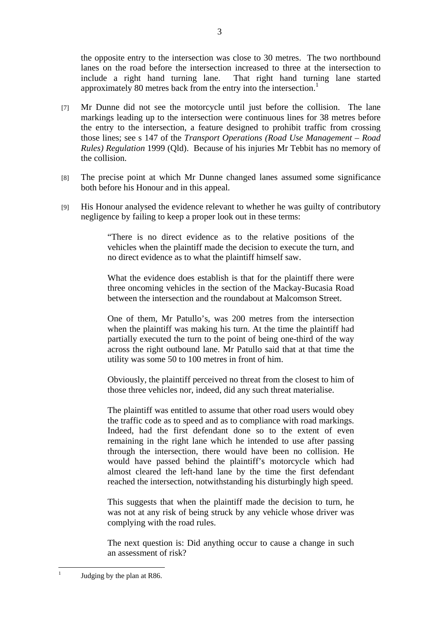the opposite entry to the intersection was close to 30 metres. The two northbound lanes on the road before the intersection increased to three at the intersection to include a right hand turning lane. That right hand turning lane started approximately 80 metres back from the entry into the intersection.<sup>1</sup>

- [7] Mr Dunne did not see the motorcycle until just before the collision. The lane markings leading up to the intersection were continuous lines for 38 metres before the entry to the intersection, a feature designed to prohibit traffic from crossing those lines; see s 147 of the *Transport Operations (Road Use Management – Road Rules) Regulation* 1999 (Qld). Because of his injuries Mr Tebbit has no memory of the collision.
- [8] The precise point at which Mr Dunne changed lanes assumed some significance both before his Honour and in this appeal.
- [9] His Honour analysed the evidence relevant to whether he was guilty of contributory negligence by failing to keep a proper look out in these terms:

"There is no direct evidence as to the relative positions of the vehicles when the plaintiff made the decision to execute the turn, and no direct evidence as to what the plaintiff himself saw.

What the evidence does establish is that for the plaintiff there were three oncoming vehicles in the section of the Mackay-Bucasia Road between the intersection and the roundabout at Malcomson Street.

One of them, Mr Patullo's, was 200 metres from the intersection when the plaintiff was making his turn. At the time the plaintiff had partially executed the turn to the point of being one-third of the way across the right outbound lane. Mr Patullo said that at that time the utility was some 50 to 100 metres in front of him.

Obviously, the plaintiff perceived no threat from the closest to him of those three vehicles nor, indeed, did any such threat materialise.

The plaintiff was entitled to assume that other road users would obey the traffic code as to speed and as to compliance with road markings. Indeed, had the first defendant done so to the extent of even remaining in the right lane which he intended to use after passing through the intersection, there would have been no collision. He would have passed behind the plaintiff's motorcycle which had almost cleared the left-hand lane by the time the first defendant reached the intersection, notwithstanding his disturbingly high speed.

This suggests that when the plaintiff made the decision to turn, he was not at any risk of being struck by any vehicle whose driver was complying with the road rules.

The next question is: Did anything occur to cause a change in such an assessment of risk?

 $\frac{1}{1}$ 

Judging by the plan at R86.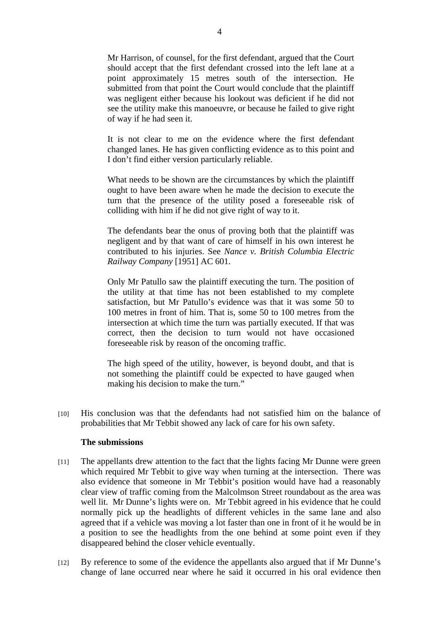Mr Harrison, of counsel, for the first defendant, argued that the Court should accept that the first defendant crossed into the left lane at a point approximately 15 metres south of the intersection. He submitted from that point the Court would conclude that the plaintiff was negligent either because his lookout was deficient if he did not see the utility make this manoeuvre, or because he failed to give right of way if he had seen it.

It is not clear to me on the evidence where the first defendant changed lanes. He has given conflicting evidence as to this point and I don't find either version particularly reliable.

What needs to be shown are the circumstances by which the plaintiff ought to have been aware when he made the decision to execute the turn that the presence of the utility posed a foreseeable risk of colliding with him if he did not give right of way to it.

The defendants bear the onus of proving both that the plaintiff was negligent and by that want of care of himself in his own interest he contributed to his injuries. See *Nance v. British Columbia Electric Railway Company* [1951] AC 601.

Only Mr Patullo saw the plaintiff executing the turn. The position of the utility at that time has not been established to my complete satisfaction, but Mr Patullo's evidence was that it was some 50 to 100 metres in front of him. That is, some 50 to 100 metres from the intersection at which time the turn was partially executed. If that was correct, then the decision to turn would not have occasioned foreseeable risk by reason of the oncoming traffic.

The high speed of the utility, however, is beyond doubt, and that is not something the plaintiff could be expected to have gauged when making his decision to make the turn."

[10] His conclusion was that the defendants had not satisfied him on the balance of probabilities that Mr Tebbit showed any lack of care for his own safety.

### **The submissions**

- [11] The appellants drew attention to the fact that the lights facing Mr Dunne were green which required Mr Tebbit to give way when turning at the intersection. There was also evidence that someone in Mr Tebbit's position would have had a reasonably clear view of traffic coming from the Malcolmson Street roundabout as the area was well lit. Mr Dunne's lights were on. Mr Tebbit agreed in his evidence that he could normally pick up the headlights of different vehicles in the same lane and also agreed that if a vehicle was moving a lot faster than one in front of it he would be in a position to see the headlights from the one behind at some point even if they disappeared behind the closer vehicle eventually.
- [12] By reference to some of the evidence the appellants also argued that if Mr Dunne's change of lane occurred near where he said it occurred in his oral evidence then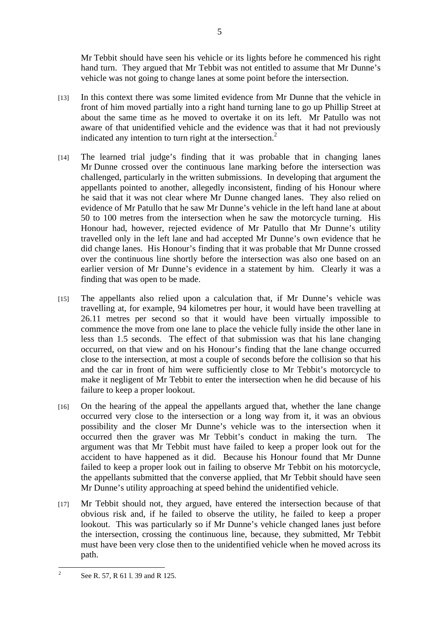Mr Tebbit should have seen his vehicle or its lights before he commenced his right hand turn. They argued that Mr Tebbit was not entitled to assume that Mr Dunne's vehicle was not going to change lanes at some point before the intersection.

- [13] In this context there was some limited evidence from Mr Dunne that the vehicle in front of him moved partially into a right hand turning lane to go up Phillip Street at about the same time as he moved to overtake it on its left. Mr Patullo was not aware of that unidentified vehicle and the evidence was that it had not previously indicated any intention to turn right at the intersection. $2$
- [14] The learned trial judge's finding that it was probable that in changing lanes Mr Dunne crossed over the continuous lane marking before the intersection was challenged, particularly in the written submissions. In developing that argument the appellants pointed to another, allegedly inconsistent, finding of his Honour where he said that it was not clear where Mr Dunne changed lanes. They also relied on evidence of Mr Patullo that he saw Mr Dunne's vehicle in the left hand lane at about 50 to 100 metres from the intersection when he saw the motorcycle turning. His Honour had, however, rejected evidence of Mr Patullo that Mr Dunne's utility travelled only in the left lane and had accepted Mr Dunne's own evidence that he did change lanes. His Honour's finding that it was probable that Mr Dunne crossed over the continuous line shortly before the intersection was also one based on an earlier version of Mr Dunne's evidence in a statement by him. Clearly it was a finding that was open to be made.
- [15] The appellants also relied upon a calculation that, if Mr Dunne's vehicle was travelling at, for example, 94 kilometres per hour, it would have been travelling at 26.11 metres per second so that it would have been virtually impossible to commence the move from one lane to place the vehicle fully inside the other lane in less than 1.5 seconds. The effect of that submission was that his lane changing occurred, on that view and on his Honour's finding that the lane change occurred close to the intersection, at most a couple of seconds before the collision so that his and the car in front of him were sufficiently close to Mr Tebbit's motorcycle to make it negligent of Mr Tebbit to enter the intersection when he did because of his failure to keep a proper lookout.
- [16] On the hearing of the appeal the appellants argued that, whether the lane change occurred very close to the intersection or a long way from it, it was an obvious possibility and the closer Mr Dunne's vehicle was to the intersection when it occurred then the graver was Mr Tebbit's conduct in making the turn. The argument was that Mr Tebbit must have failed to keep a proper look out for the accident to have happened as it did. Because his Honour found that Mr Dunne failed to keep a proper look out in failing to observe Mr Tebbit on his motorcycle, the appellants submitted that the converse applied, that Mr Tebbit should have seen Mr Dunne's utility approaching at speed behind the unidentified vehicle.
- [17] Mr Tebbit should not, they argued, have entered the intersection because of that obvious risk and, if he failed to observe the utility, he failed to keep a proper lookout. This was particularly so if Mr Dunne's vehicle changed lanes just before the intersection, crossing the continuous line, because, they submitted, Mr Tebbit must have been very close then to the unidentified vehicle when he moved across its path.

<sup>5</sup>

 $\frac{1}{2}$ See R. 57, R 61 l. 39 and R 125.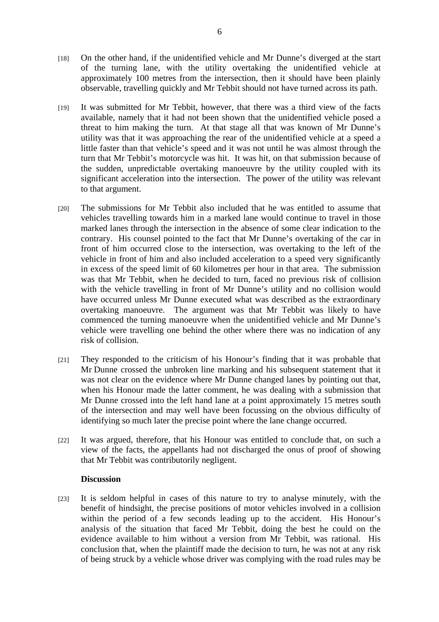- [18] On the other hand, if the unidentified vehicle and Mr Dunne's diverged at the start of the turning lane, with the utility overtaking the unidentified vehicle at approximately 100 metres from the intersection, then it should have been plainly observable, travelling quickly and Mr Tebbit should not have turned across its path.
- [19] It was submitted for Mr Tebbit, however, that there was a third view of the facts available, namely that it had not been shown that the unidentified vehicle posed a threat to him making the turn. At that stage all that was known of Mr Dunne's utility was that it was approaching the rear of the unidentified vehicle at a speed a little faster than that vehicle's speed and it was not until he was almost through the turn that Mr Tebbit's motorcycle was hit. It was hit, on that submission because of the sudden, unpredictable overtaking manoeuvre by the utility coupled with its significant acceleration into the intersection. The power of the utility was relevant to that argument.
- [20] The submissions for Mr Tebbit also included that he was entitled to assume that vehicles travelling towards him in a marked lane would continue to travel in those marked lanes through the intersection in the absence of some clear indication to the contrary. His counsel pointed to the fact that Mr Dunne's overtaking of the car in front of him occurred close to the intersection, was overtaking to the left of the vehicle in front of him and also included acceleration to a speed very significantly in excess of the speed limit of 60 kilometres per hour in that area. The submission was that Mr Tebbit, when he decided to turn, faced no previous risk of collision with the vehicle travelling in front of Mr Dunne's utility and no collision would have occurred unless Mr Dunne executed what was described as the extraordinary overtaking manoeuvre. The argument was that Mr Tebbit was likely to have commenced the turning manoeuvre when the unidentified vehicle and Mr Dunne's vehicle were travelling one behind the other where there was no indication of any risk of collision.
- [21] They responded to the criticism of his Honour's finding that it was probable that Mr Dunne crossed the unbroken line marking and his subsequent statement that it was not clear on the evidence where Mr Dunne changed lanes by pointing out that, when his Honour made the latter comment, he was dealing with a submission that Mr Dunne crossed into the left hand lane at a point approximately 15 metres south of the intersection and may well have been focussing on the obvious difficulty of identifying so much later the precise point where the lane change occurred.
- [22] It was argued, therefore, that his Honour was entitled to conclude that, on such a view of the facts, the appellants had not discharged the onus of proof of showing that Mr Tebbit was contributorily negligent.

### **Discussion**

[23] It is seldom helpful in cases of this nature to try to analyse minutely, with the benefit of hindsight, the precise positions of motor vehicles involved in a collision within the period of a few seconds leading up to the accident. His Honour's analysis of the situation that faced Mr Tebbit, doing the best he could on the evidence available to him without a version from Mr Tebbit, was rational. His conclusion that, when the plaintiff made the decision to turn, he was not at any risk of being struck by a vehicle whose driver was complying with the road rules may be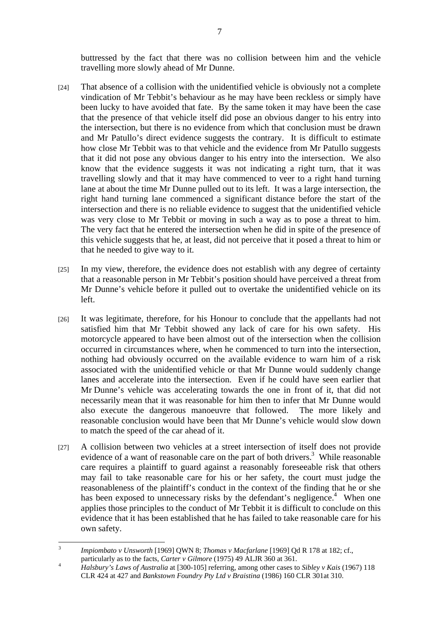buttressed by the fact that there was no collision between him and the vehicle travelling more slowly ahead of Mr Dunne.

- [24] That absence of a collision with the unidentified vehicle is obviously not a complete vindication of Mr Tebbit's behaviour as he may have been reckless or simply have been lucky to have avoided that fate. By the same token it may have been the case that the presence of that vehicle itself did pose an obvious danger to his entry into the intersection, but there is no evidence from which that conclusion must be drawn and Mr Patullo's direct evidence suggests the contrary. It is difficult to estimate how close Mr Tebbit was to that vehicle and the evidence from Mr Patullo suggests that it did not pose any obvious danger to his entry into the intersection. We also know that the evidence suggests it was not indicating a right turn, that it was travelling slowly and that it may have commenced to veer to a right hand turning lane at about the time Mr Dunne pulled out to its left. It was a large intersection, the right hand turning lane commenced a significant distance before the start of the intersection and there is no reliable evidence to suggest that the unidentified vehicle was very close to Mr Tebbit or moving in such a way as to pose a threat to him. The very fact that he entered the intersection when he did in spite of the presence of this vehicle suggests that he, at least, did not perceive that it posed a threat to him or that he needed to give way to it.
- [25] In my view, therefore, the evidence does not establish with any degree of certainty that a reasonable person in Mr Tebbit's position should have perceived a threat from Mr Dunne's vehicle before it pulled out to overtake the unidentified vehicle on its left.
- [26] It was legitimate, therefore, for his Honour to conclude that the appellants had not satisfied him that Mr Tebbit showed any lack of care for his own safety. His motorcycle appeared to have been almost out of the intersection when the collision occurred in circumstances where, when he commenced to turn into the intersection, nothing had obviously occurred on the available evidence to warn him of a risk associated with the unidentified vehicle or that Mr Dunne would suddenly change lanes and accelerate into the intersection. Even if he could have seen earlier that Mr Dunne's vehicle was accelerating towards the one in front of it, that did not necessarily mean that it was reasonable for him then to infer that Mr Dunne would also execute the dangerous manoeuvre that followed. The more likely and reasonable conclusion would have been that Mr Dunne's vehicle would slow down to match the speed of the car ahead of it.
- [27] A collision between two vehicles at a street intersection of itself does not provide evidence of a want of reasonable care on the part of both drivers.<sup>3</sup> While reasonable care requires a plaintiff to guard against a reasonably foreseeable risk that others may fail to take reasonable care for his or her safety, the court must judge the reasonableness of the plaintiff's conduct in the context of the finding that he or she has been exposed to unnecessary risks by the defendant's negligence.<sup>4</sup> When one applies those principles to the conduct of Mr Tebbit it is difficult to conclude on this evidence that it has been established that he has failed to take reasonable care for his own safety.

 3 *Impiombato v Unsworth* [1969] QWN 8; *Thomas v Macfarlane* [1969] Qd R 178 at 182; cf., particularly as to the facts, *Carter v Gilmore* (1975) 49 ALJR 360 at 361.

*Halsbury's Laws of Australia* at [300-105] referring, among other cases to *Sibley v Kais* (1967) 118 CLR 424 at 427 and *Bankstown Foundry Pty Ltd v Braistina* (1986) 160 CLR 301at 310.